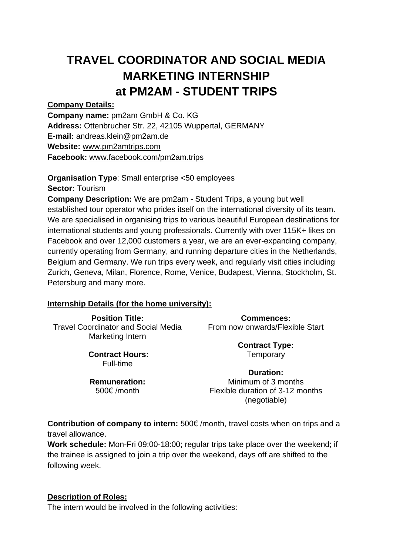# **TRAVEL COORDINATOR AND SOCIAL MEDIA MARKETING INTERNSHIP at PM2AM - STUDENT TRIPS**

**Company Details:**

**Company name:** pm2am GmbH & Co. KG **Address:** Ottenbrucher Str. 22, 42105 Wuppertal, GERMANY **E-mail:** [andreas.klein@pm2am.de](mailto:andreas.klein@pm2am.de) **Website:** [www.pm2amtrips.com](http://www.pm2amtrips.com/)

**Facebook:** [www.facebook.com/pm2am.trips](http://www.facebook.com/pm2am.trips)

**Organisation Type**: Small enterprise <50 employees **Sector:** Tourism **Company Description:** We are pm2am - Student Trips, a young but well established tour operator who prides itself on the international diversity of its team. We are specialised in organising trips to various beautiful European destinations for international students and young professionals. Currently with over 115K+ likes on Facebook and over 12,000 customers a year, we are an ever-expanding company, currently operating from Germany, and running departure cities in the Netherlands, Belgium and Germany. We run trips every week, and regularly visit cities including Zurich, Geneva, Milan, Florence, Rome, Venice, Budapest, Vienna, Stockholm, St. Petersburg and many more.

#### **Internship Details (for the home university):**

**Position Title:** Travel Coordinator and Social Media Marketing Intern

> **Contract Hours:** Full-time

**Remuneration:** 500€ /month

**Commences:** From now onwards/Flexible Start

> **Contract Type: Temporary**

**Duration:** Minimum of 3 months Flexible duration of 3-12 months (negotiable)

**Contribution of company to intern:** 500€ /month, travel costs when on trips and a travel allowance.

**Work schedule:** Mon-Fri 09:00-18:00; regular trips take place over the weekend; if the trainee is assigned to join a trip over the weekend, days off are shifted to the following week.

#### **Description of Roles:**

The intern would be involved in the following activities: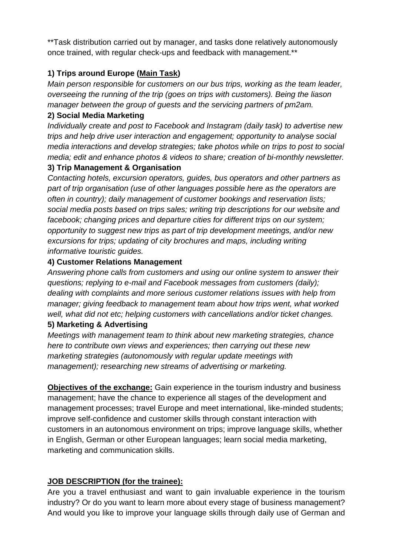\*\*Task distribution carried out by manager, and tasks done relatively autonomously once trained, with regular check-ups and feedback with management.\*\*

## **1) Trips around Europe (Main Task)**

*Main person responsible for customers on our bus trips, working as the team leader, overseeing the running of the trip (goes on trips with customers). Being the liason manager between the group of guests and the servicing partners of pm2am.*

#### **2) Social Media Marketing**

*Individually create and post to Facebook and Instagram (daily task) to advertise new trips and help drive user interaction and engagement; opportunity to analyse social media interactions and develop strategies; take photos while on trips to post to social media; edit and enhance photos & videos to share; creation of bi-monthly newsletter.* 

### **3) Trip Management & Organisation**

*Contacting hotels, excursion operators, guides, bus operators and other partners as part of trip organisation (use of other languages possible here as the operators are often in country); daily management of customer bookings and reservation lists; social media posts based on trips sales; writing trip descriptions for our website and facebook; changing prices and departure cities for different trips on our system; opportunity to suggest new trips as part of trip development meetings, and/or new excursions for trips; updating of city brochures and maps, including writing informative touristic guides.* 

### **4) Customer Relations Management**

*Answering phone calls from customers and using our online system to answer their questions; replying to e-mail and Facebook messages from customers (daily); dealing with complaints and more serious customer relations issues with help from manager; giving feedback to management team about how trips went, what worked well, what did not etc; helping customers with cancellations and/or ticket changes.*

### **5) Marketing & Advertising**

*Meetings with management team to think about new marketing strategies, chance here to contribute own views and experiences; then carrying out these new marketing strategies (autonomously with regular update meetings with management); researching new streams of advertising or marketing.*

**Objectives of the exchange:** Gain experience in the tourism industry and business management; have the chance to experience all stages of the development and management processes; travel Europe and meet international, like-minded students; improve self-confidence and customer skills through constant interaction with customers in an autonomous environment on trips; improve language skills, whether in English, German or other European languages; learn social media marketing, marketing and communication skills.

# **JOB DESCRIPTION (for the trainee):**

Are you a travel enthusiast and want to gain invaluable experience in the tourism industry? Or do you want to learn more about every stage of business management? And would you like to improve your language skills through daily use of German and